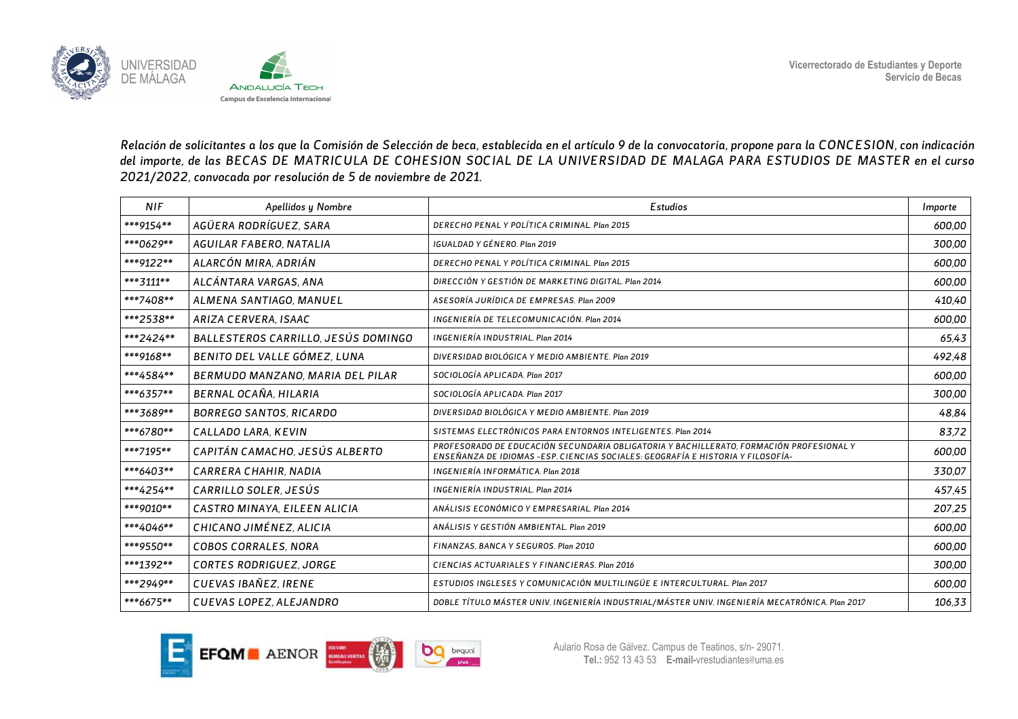

*Relación de solicitantes a los que la Comisión de Selección de beca, establecida en el artículo 9 de la convocatoria, propone para la CONCESION, con indicación del importe, de las BECAS DE MATRICULA DE COHESION SOCIAL DE LA UNIVERSIDAD DE MALAGA PARA ESTUDIOS DE MASTER en el curso 2021/2022, convocada por resolución de 5 de noviembre de 2021.* 

| <b>NIF</b> | Apellidos y Nombre                  | <b>Estudios</b>                                                                                                                                                             | Importe |
|------------|-------------------------------------|-----------------------------------------------------------------------------------------------------------------------------------------------------------------------------|---------|
| ***9154**  | AGÜERA RODRÍGUEZ, SARA              | DERECHO PENAL Y POLÍTICA CRIMINAL, Plan 2015                                                                                                                                | 600,00  |
| ***0629**  | AGUILAR FABERO, NATALIA             | IGUALDAD Y GÉNERO. Plan 2019                                                                                                                                                | 300.00  |
| ***9122**  | ALARCÓN MIRA, ADRIÁN                | DERECHO PENAL Y POLÍTICA CRIMINAL, Plan 2015                                                                                                                                | 600.00  |
| *** 3111** | ALCÁNTARA VARGAS, ANA               | DIRECCIÓN Y GESTIÓN DE MARKETING DIGITAL, Plan 2014                                                                                                                         | 600.00  |
| ***7408**  | ALMENA SANTIAGO, MANUEL             | ASESORÍA JURÍDICA DE EMPRESAS. Plan 2009                                                                                                                                    | 410.40  |
| ***2538**  | ARIZA CERVERA, ISAAC                | INGENIERÍA DE TELECOMUNICACIÓN, Plan 2014                                                                                                                                   | 600,00  |
| ***2424**  | BALLESTEROS CARRILLO, JESÚS DOMINGO | INGENIERÍA INDUSTRIAL. Plan 2014                                                                                                                                            | 65.43   |
| ***9168**  | BENITO DEL VALLE GÓMEZ, LUNA        | DIVERSIDAD BIOLÓGICA Y MEDIO AMBIENTE. Plan 2019                                                                                                                            | 492.48  |
| ***4584**  | BERMUDO MANZANO, MARIA DEL PILAR    | SOCIOLOGÍA APLICADA. Plan 2017                                                                                                                                              | 600.00  |
| ***6357**  | BERNAL OCAÑA, HILARIA               | SOCIOLOGÍA APLICADA. Plan 2017                                                                                                                                              | 300.00  |
| ***3689**  | <b>BORREGO SANTOS, RICARDO</b>      | DIVERSIDAD BIOLÓGICA Y MEDIO AMBIENTE. Plan 2019                                                                                                                            | 48,84   |
| ***6780**  | CALLADO LARA, KEVIN                 | SISTEMAS ELECTRÓNICOS PARA ENTORNOS INTELIGENTES. Plan 2014                                                                                                                 | 83.72   |
| ***7195**  | CAPITÁN CAMACHO, JESÚS ALBERTO      | PROFESORADO DE EDUCACIÓN SECUNDARIA OBLIGATORIA Y BACHILLERATO, FORMACIÓN PROFESIONAL Y<br>ENSEÑANZA DE IDIOMAS - ESP. CIENCIAS SOCIALES: GEOGRAFÍA E HISTORIA Y FILOSOFÍA- | 600.00  |
| ***6403**  | CARRERA CHAHIR, NADIA               | INGENIERÍA INFORMÁTICA, Plan 2018                                                                                                                                           | 330,07  |
| ***4254**  | CARRILLO SOLER, JESÚS               | INGENIERÍA INDUSTRIAL, Plan 2014                                                                                                                                            | 457,45  |
| ***9010**  | CASTRO MINAYA, EILEEN ALICIA        | ANÁLISIS ECONÓMICO Y EMPRESARIAL, Plan 2014                                                                                                                                 | 207.25  |
| ***4046**  | CHICANO JIMÉNEZ, ALICIA             | ANÁLISIS Y GESTIÓN AMBIENTAL. Plan 2019                                                                                                                                     | 600.00  |
| ***9550**  | <b>COBOS CORRALES, NORA</b>         | FINANZAS, BANCA Y SEGUROS. Plan 2010                                                                                                                                        | 600.00  |
| ***1392**  | <b>CORTES RODRIGUEZ, JORGE</b>      | CIENCIAS ACTUARIALES Y FINANCIERAS, Plan 2016                                                                                                                               | 300.00  |
| ***2949**  | CUEVAS IBAÑEZ, IRENE                | ESTUDIOS INGLESES Y COMUNICACIÓN MULTILINGÜE E INTERCULTURAL. Plan 2017                                                                                                     | 600,00  |
| ***6675**  | <b>CUEVAS LOPEZ, ALEJANDRO</b>      | DOBLE TÍTULO MÁSTER UNIV. INGENIERÍA INDUSTRIAL/MÁSTER UNIV. INGENIERÍA MECATRÓNICA. Plan 2017                                                                              | 106,33  |

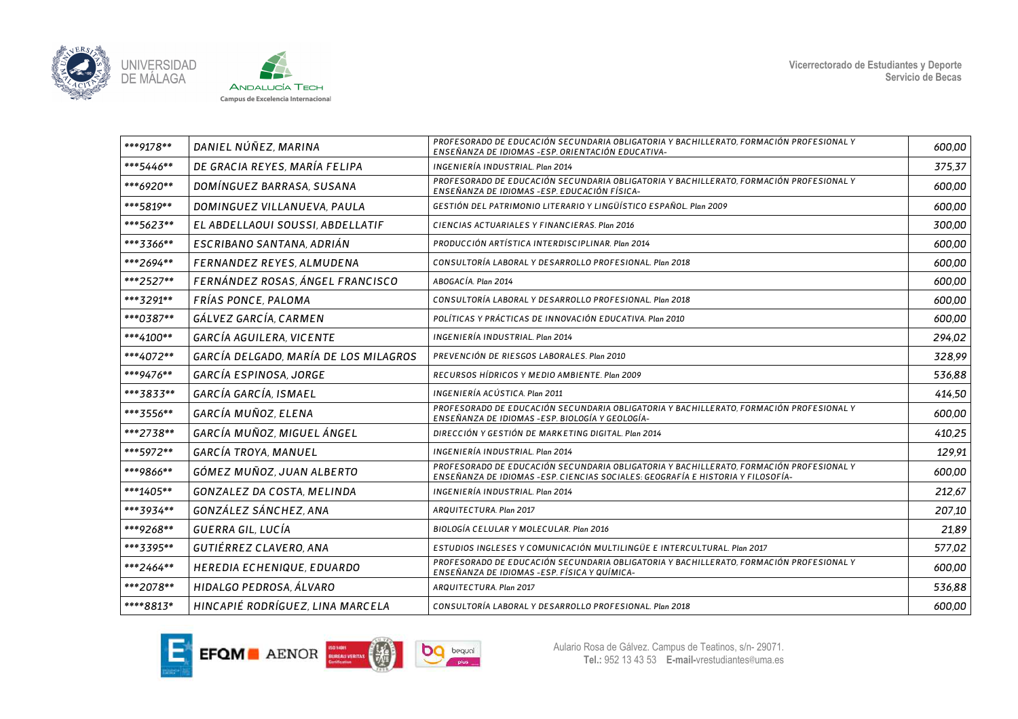



| ***9178** | DANIEL NÚÑEZ, MARINA                  | PROFESORADO DE EDUCACIÓN SECUNDARIA OBLIGATORIA Y BACHILLERATO, FORMACIÓN PROFESIONAL Y<br>ENSEÑANZA DE IDIOMAS - ESP. ORIENTACIÓN EDUCATIVA-                               | 600,00 |
|-----------|---------------------------------------|-----------------------------------------------------------------------------------------------------------------------------------------------------------------------------|--------|
| ***5446** | DE GRACIA REYES, MARÍA FELIPA         | INGENIERÍA INDUSTRIAL. Plan 2014                                                                                                                                            | 375.37 |
| ***6920** | DOMÍNGUEZ BARRASA, SUSANA             | PROFESORADO DE EDUCACIÓN SECUNDARIA OBLIGATORIA Y BACHILLERATO, FORMACIÓN PROFESIONAL Y<br>ENSEÑANZA DE IDIOMAS -ESP. EDUCACIÓN FÍSICA-                                     | 600,00 |
| ***5819** | DOMINGUEZ VILLANUEVA, PAULA           | GESTIÓN DEL PATRIMONIO LITERARIO Y LINGÜÍSTICO ESPAÑOL. Plan 2009                                                                                                           | 600.00 |
| ***5623** | EL ABDELLAOUI SOUSSI, ABDELLATIF      | CIENCIAS ACTUARIALES Y FINANCIERAS, Plan 2016                                                                                                                               | 300,00 |
| ***3366** | ESCRIBANO SANTANA, ADRIÁN             | PRODUCCIÓN ARTÍSTICA INTERDISCIPLINAR, Plan 2014                                                                                                                            | 600.00 |
| ***2694** | FERNANDEZ REYES, ALMUDENA             | CONSULTORÍA LABORAL Y DESARROLLO PROFESIONAL. Plan 2018                                                                                                                     | 600,00 |
| ***2527** | FERNÁNDEZ ROSAS, ÁNGEL FRANCISCO      | ABOGACÍA. Plan 2014                                                                                                                                                         | 600.00 |
| ***3291** | FRÍAS PONCE, PALOMA                   | CONSULTORÍA LABORAL Y DESARROLLO PROFESIONAL. Plan 2018                                                                                                                     | 600.00 |
| ***0387** | GÁLVEZ GARCÍA, CARMEN                 | POLÍTICAS Y PRÁCTICAS DE INNOVACIÓN EDUCATIVA. Plan 2010                                                                                                                    | 600,00 |
| ***4100** | GARCÍA AGUILERA, VICENTE              | INGENIERÍA INDUSTRIAL. Plan 2014                                                                                                                                            | 294.02 |
| ***4072** | GARCÍA DELGADO, MARÍA DE LOS MILAGROS | PREVENCIÓN DE RIESGOS LABORALES, Plan 2010                                                                                                                                  | 328,99 |
| ***9476** | GARCÍA ESPINOSA, JORGE                | RECURSOS HÍDRICOS Y MEDIO AMBIENTE. Plan 2009                                                                                                                               | 536,88 |
| ***3833** | GARCÍA GARCÍA, ISMAEL                 | INGENIERÍA ACÚSTICA. Plan 2011                                                                                                                                              | 414.50 |
| ***3556** | GARCÍA MUÑOZ, ELENA                   | PROFESORADO DE EDUCACIÓN SECUNDARIA OBLIGATORIA Y BACHILLERATO, FORMACIÓN PROFESIONAL Y<br>ENSEÑANZA DE IDIOMAS -ESP. BIOLOGÍA Y GEOLOGÍA-                                  | 600,00 |
| ***2738** | GARCÍA MUÑOZ, MIGUEL ÁNGEL            | DIRECCIÓN Y GESTIÓN DE MARKETING DIGITAL, Plan 2014                                                                                                                         | 410,25 |
| ***5972** | <b>GARCÍA TROYA, MANUEL</b>           | INGENIERÍA INDUSTRIAL. Plan 2014                                                                                                                                            | 129.91 |
| ***9866** | GÓMEZ MUÑOZ, JUAN ALBERTO             | PROFESORADO DE EDUCACIÓN SECUNDARIA OBLIGATORIA Y BACHILLERATO, FORMACIÓN PROFESIONAL Y<br>ENSEÑANZA DE IDIOMAS - ESP. CIENCIAS SOCIALES: GEOGRAFÍA E HISTORIA Y FILOSOFÍA- | 600,00 |
| ***1405** | <b>GONZALEZ DA COSTA, MELINDA</b>     | INGENIERÍA INDUSTRIAL. Plan 2014                                                                                                                                            | 212,67 |
| ***3934** | GONZÁLEZ SÁNCHEZ, ANA                 | ARQUITECTURA, Plan 2017                                                                                                                                                     | 207,10 |
| ***9268** | GUERRA GIL, LUCÍA                     | BIOLOGÍA CELULAR Y MOLECULAR. Plan 2016                                                                                                                                     | 21,89  |
| ***3395** | GUTIÉRREZ CLAVERO, ANA                | ESTUDIOS INGLESES Y COMUNICACIÓN MULTILINGÜE E INTERCULTURAL. Plan 2017                                                                                                     | 577,02 |
| ***2464** | HEREDIA ECHENIQUE, EDUARDO            | PROFESORADO DE EDUCACIÓN SECUNDARIA OBLIGATORIA Y BACHILLERATO, FORMACIÓN PROFESIONAL Y<br>ENSEÑANZA DE IDIOMAS - ESP. FÍSICA Y QUÍMICA-                                    | 600.00 |
| ***2078** | HIDALGO PEDROSA, ÁLVARO               | ARQUITECTURA, Plan 2017                                                                                                                                                     | 536,88 |
| ****8813* | HINCAPIÉ RODRÍGUEZ, LINA MARCELA      | CONSULTORÍA LABORAL Y DESARROLLO PROFESIONAL. Plan 2018                                                                                                                     | 600,00 |

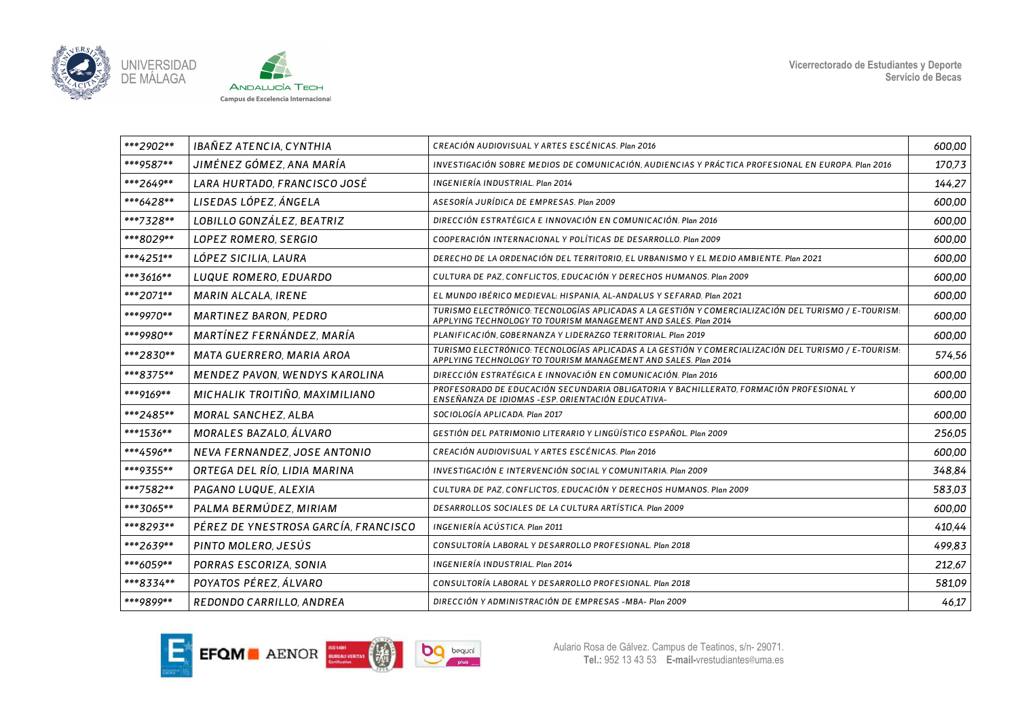



| ***2902** | IBAÑEZ ATENCIA, CYNTHIA              | CREACIÓN AUDIOVISUAL Y ARTES ESCÉNICAS. Plan 2016                                                                                                                     | 600,00 |
|-----------|--------------------------------------|-----------------------------------------------------------------------------------------------------------------------------------------------------------------------|--------|
| ***9587** | JIMÉNEZ GÓMEZ, ANA MARÍA             | INVESTIGACIÓN SOBRE MEDIOS DE COMUNICACIÓN, AUDIENCIAS Y PRÁCTICA PROFESIONAL EN EUROPA. Plan 2016                                                                    | 170,73 |
| ***2649** | LARA HURTADO, FRANCISCO JOSÉ         | INGENIERÍA INDUSTRIAL. Plan 2014                                                                                                                                      | 144,27 |
| ***6428** | LISEDAS LÓPEZ, ÁNGELA                | ASESORÍA JURÍDICA DE EMPRESAS. Plan 2009                                                                                                                              | 600,00 |
| ***7328** | LOBILLO GONZÁLEZ, BEATRIZ            | DIRECCIÓN ESTRATÉGICA E INNOVACIÓN EN COMUNICACIÓN. Plan 2016                                                                                                         | 600.00 |
| ***8029** | <b>LOPEZ ROMERO, SERGIO</b>          | COOPERACIÓN INTERNACIONAL Y POLÍTICAS DE DESARROLLO. Plan 2009                                                                                                        | 600.00 |
| ***4251** | LÓPEZ SICILIA, LAURA                 | DERECHO DE LA ORDENACIÓN DEL TERRITORIO, EL URBANISMO Y EL MEDIO AMBIENTE. Plan 2021                                                                                  | 600.00 |
| ***3616** | LUQUE ROMERO, EDUARDO                | CULTURA DE PAZ, CONFLICTOS, EDUCACIÓN Y DERECHOS HUMANOS. Plan 2009                                                                                                   | 600.00 |
| ***2071** | <b>MARIN ALCALA, IRENE</b>           | EL MUNDO IBÉRICO MEDIEVAL: HISPANIA, AL-ANDALUS Y SEFARAD. Plan 2021                                                                                                  | 600.00 |
| ***9970** | <b>MARTINEZ BARON, PEDRO</b>         | TURISMO ELECTRÓNICO: TECNOLOGÍAS APLICADAS A LA GESTIÓN Y COMERCIALIZACIÓN DEL TURISMO / E-TOURISM:<br>APPLYING TECHNOLOGY TO TOURISM MANAGEMENT AND SALES. Plan 2014 | 600.00 |
| ***9980** | MARTÍNEZ FERNÁNDEZ, MARÍA            | PLANIFICACIÓN, GOBERNANZA Y LIDERAZGO TERRITORIAL. Plan 2019                                                                                                          | 600,00 |
| ***2830** | MATA GUERRERO, MARIA AROA            | TURISMO ELECTRÓNICO: TECNOLOGÍAS APLICADAS A LA GESTIÓN Y COMERCIALIZACIÓN DEL TURISMO / E-TOURISM:<br>APPLYING TECHNOLOGY TO TOURISM MANAGEMENT AND SALES. Plan 2014 | 574,56 |
| ***8375** | MENDEZ PAVON, WENDYS KAROLINA        | DIRECCIÓN ESTRATÉGICA E INNOVACIÓN EN COMUNICACIÓN. Plan 2016                                                                                                         | 600.00 |
| ***9169** | MICHALIK TROITIÑO, MAXIMILIANO       | PROFESORADO DE EDUCACIÓN SECUNDARIA OBLIGATORIA Y BACHILLERATO, FORMACIÓN PROFESIONAL Y<br>ENSEÑANZA DE IDIOMAS - ESP. ORIENTACIÓN EDUCATIVA-                         | 600.00 |
| ***2485** | <b>MORAL SANCHEZ, ALBA</b>           | SOCIOLOGÍA APLICADA. Plan 2017                                                                                                                                        | 600,00 |
| ***1536** | MORALES BAZALO, ÁLVARO               | GESTIÓN DEL PATRIMONIO LITERARIO Y LINGÜÍSTICO ESPAÑOL. Plan 2009                                                                                                     | 256,05 |
| ***4596** | NEVA FERNANDEZ, JOSE ANTONIO         | CREACIÓN AUDIOVISUAL Y ARTES ESCÉNICAS, Plan 2016                                                                                                                     | 600,00 |
| ***9355** | ORTEGA DEL RÍO, LIDIA MARINA         | INVESTIGACIÓN E INTERVENCIÓN SOCIAL Y COMUNITARIA, Plan 2009                                                                                                          | 348,84 |
| ***7582** | PAGANO LUQUE, ALEXIA                 | CULTURA DE PAZ, CONFLICTOS, EDUCACIÓN Y DERECHOS HUMANOS. Plan 2009                                                                                                   | 583.03 |
| ***3065** | PALMA BERMÚDEZ, MIRIAM               | DESARROLLOS SOCIALES DE LA CULTURA ARTÍSTICA. Plan 2009                                                                                                               | 600.00 |
| ***8293** | PÉREZ DE YNESTROSA GARCÍA, FRANCISCO | INGENIERÍA ACÚSTICA. Plan 2011                                                                                                                                        | 410.44 |
| ***2639** | PINTO MOLERO, JESÚS                  | CONSULTORÍA LABORAL Y DESARROLLO PROFESIONAL. Plan 2018                                                                                                               | 499.83 |
| ***6059** | PORRAS ESCORIZA, SONIA               | INGENIERÍA INDUSTRIAL. Plan 2014                                                                                                                                      | 212,67 |
| ***8334** | POYATOS PÉREZ, ÁLVARO                | CONSULTORÍA LABORAL Y DESARROLLO PROFESIONAL. Plan 2018                                                                                                               | 581,09 |
| ***9899** | REDONDO CARRILLO, ANDREA             | DIRECCIÓN Y ADMINISTRACIÓN DE EMPRESAS -MBA- Plan 2009                                                                                                                | 46.17  |